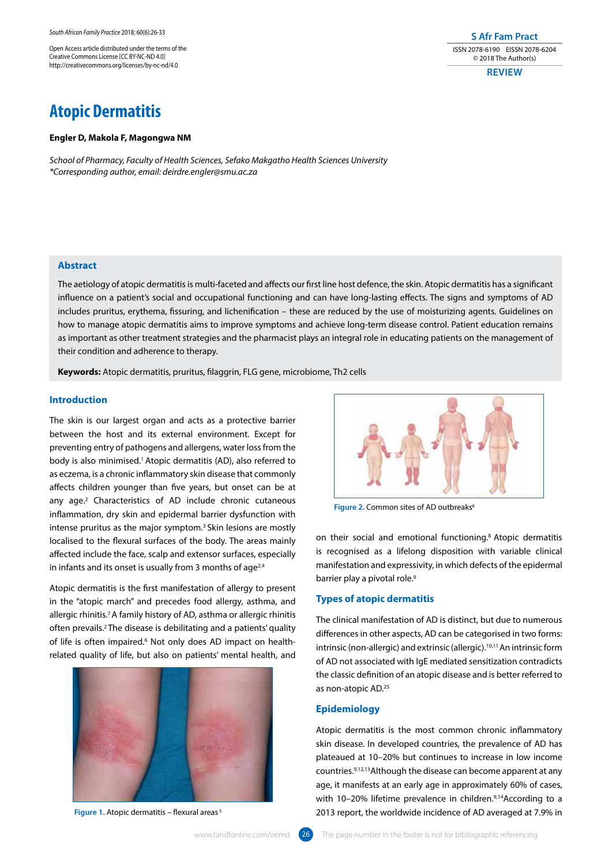Open Access article distributed under the terms of the Creative Commons License [CC BY-NC-ND 4.0] http://creativecommons.org/licenses/by-nc-nd/4.0

# **Atopic Dermatitis**

#### **Engler D, Makola F, Magongwa NM**

*School of Pharmacy, Faculty of Health Sciences, Sefako Makgatho Health Sciences University \*Corresponding author, email: deirdre.engler@smu.ac.za*

# **Abstract**

The aetiology of atopic dermatitis is multi-faceted and affects our first line host defence, the skin. Atopic dermatitis has a significant influence on a patient's social and occupational functioning and can have long-lasting effects. The signs and symptoms of AD includes pruritus, erythema, fissuring, and lichenification – these are reduced by the use of moisturizing agents. Guidelines on how to manage atopic dermatitis aims to improve symptoms and achieve long-term disease control. Patient education remains as important as other treatment strategies and the pharmacist plays an integral role in educating patients on the management of their condition and adherence to therapy.

**Keywords:** Atopic dermatitis, pruritus, filaggrin, FLG gene, microbiome, Th2 cells

# **Introduction**

The skin is our largest organ and acts as a protective barrier between the host and its external environment. Except for preventing entry of pathogens and allergens, water loss from the body is also minimised.1 Atopic dermatitis (AD), also referred to as eczema, is a chronic inflammatory skin disease that commonly affects children younger than five years, but onset can be at any age.2 Characteristics of AD include chronic cutaneous inflammation, dry skin and epidermal barrier dysfunction with intense pruritus as the major symptom.<sup>3</sup> Skin lesions are mostly localised to the flexural surfaces of the body. The areas mainly affected include the face, scalp and extensor surfaces, especially in infants and its onset is usually from 3 months of age<sup>2,4</sup>

Atopic dermatitis is the first manifestation of allergy to present in the "atopic march" and precedes food allergy, asthma, and allergic rhinitis.<sup>7</sup> A family history of AD, asthma or allergic rhinitis often prevails.2 The disease is debilitating and a patients' quality of life is often impaired.<sup>6</sup> Not only does AD impact on healthrelated quality of life, but also on patients' mental health, and



 **Figure 1.** Atopic dermatitis – flexural areas 5



**S Afr Fam Pract** ISSN 2078-6190 EISSN 2078-6204 © 2018 The Author(s) **REVIEW**

**Figure 2.** Common sites of AD outbreaks<sup>6</sup>

on their social and emotional functioning.8 Atopic dermatitis is recognised as a lifelong disposition with variable clinical manifestation and expressivity, in which defects of the epidermal barrier play a pivotal role.<sup>9</sup>

# **Types of atopic dermatitis**

The clinical manifestation of AD is distinct, but due to numerous differences in other aspects, AD can be categorised in two forms: intrinsic (non-allergic) and extrinsic (allergic).10,11 An intrinsic form of AD not associated with IgE mediated sensitization contradicts the classic definition of an atopic disease and is better referred to as non-atopic AD.25

# **Epidemiology**

Atopic dermatitis is the most common chronic inflammatory skin disease. In developed countries, the prevalence of AD has plateaued at 10–20% but continues to increase in low income countries.9,12,13Although the disease can become apparent at any age, it manifests at an early age in approximately 60% of cases, with 10–20% lifetime prevalence in children.<sup>9,14</sup>According to a 2013 report, the worldwide incidence of AD averaged at 7.9% in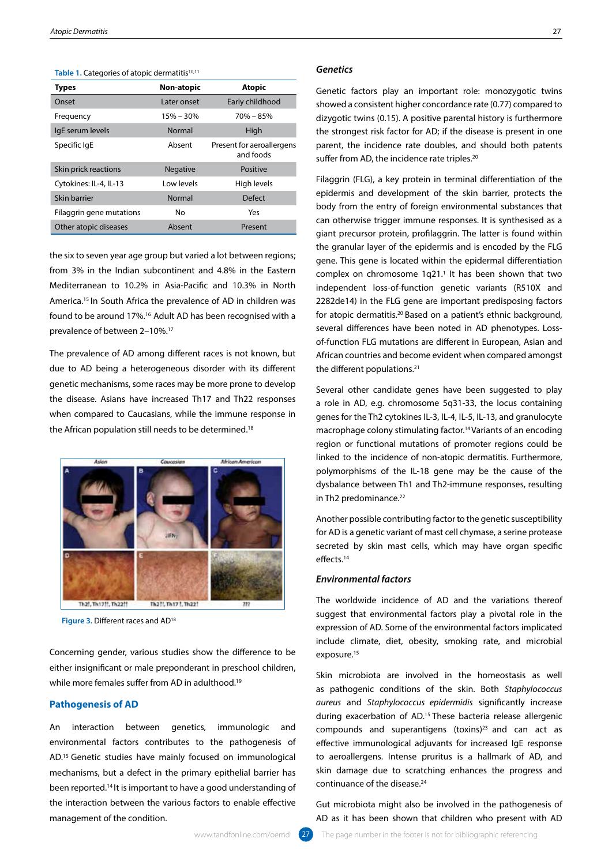| <b>Types</b>             | Non-atopic      | <b>Atopic</b>                          |
|--------------------------|-----------------|----------------------------------------|
| Onset                    | Later onset     | Early childhood                        |
| Frequency                | $15% - 30%$     | $70\% - 85\%$                          |
| IgE serum levels         | Normal          | High                                   |
| Specific IgE             | Absent          | Present for aeroallergens<br>and foods |
| Skin prick reactions     | <b>Negative</b> | Positive                               |
| Cytokines: IL-4, IL-13   | Low levels      | High levels                            |
| Skin barrier             | Normal          | <b>Defect</b>                          |
| Filaggrin gene mutations | N٥              | Yes                                    |
| Other atopic diseases    | Absent          | Present                                |

Table 1. Categories of atopic dermatitis<sup>10,11</sup>

the six to seven year age group but varied a lot between regions; from 3% in the Indian subcontinent and 4.8% in the Eastern Mediterranean to 10.2% in Asia-Pacific and 10.3% in North America.15 In South Africa the prevalence of AD in children was found to be around 17%.16 Adult AD has been recognised with a prevalence of between 2–10%.17

The prevalence of AD among different races is not known, but due to AD being a heterogeneous disorder with its different genetic mechanisms, some races may be more prone to develop the disease. Asians have increased Th17 and Th22 responses when compared to Caucasians, while the immune response in the African population still needs to be determined.18



Figure 3. Different races and AD<sup>18</sup>

Concerning gender, various studies show the difference to be either insignificant or male preponderant in preschool children, while more females suffer from AD in adulthood.<sup>19</sup>

# **Pathogenesis of AD**

An interaction between genetics, immunologic and environmental factors contributes to the pathogenesis of AD.15 Genetic studies have mainly focused on immunological mechanisms, but a defect in the primary epithelial barrier has been reported.14 It is important to have a good understanding of the interaction between the various factors to enable effective management of the condition.

## *Genetics*

Genetic factors play an important role: monozygotic twins showed a consistent higher concordance rate (0.77) compared to dizygotic twins (0.15). A positive parental history is furthermore the strongest risk factor for AD; if the disease is present in one parent, the incidence rate doubles, and should both patents suffer from AD, the incidence rate triples.<sup>20</sup>

Filaggrin (FLG), a key protein in terminal differentiation of the epidermis and development of the skin barrier, protects the body from the entry of foreign environmental substances that can otherwise trigger immune responses. It is synthesised as a giant precursor protein, profilaggrin. The latter is found within the granular layer of the epidermis and is encoded by the FLG gene. This gene is located within the epidermal differentiation complex on chromosome  $1q21$ .<sup>1</sup> It has been shown that two independent loss-of-function genetic variants (R510X and 2282de14) in the FLG gene are important predisposing factors for atopic dermatitis.<sup>20</sup> Based on a patient's ethnic background, several differences have been noted in AD phenotypes. Lossof-function FLG mutations are different in European, Asian and African countries and become evident when compared amongst the different populations.<sup>21</sup>

Several other candidate genes have been suggested to play a role in AD, e.g. chromosome 5q31-33, the locus containing genes for the Th2 cytokines IL-3, IL-4, IL-5, IL-13, and granulocyte macrophage colony stimulating factor.<sup>14</sup> Variants of an encoding region or functional mutations of promoter regions could be linked to the incidence of non-atopic dermatitis. Furthermore, polymorphisms of the IL-18 gene may be the cause of the dysbalance between Th1 and Th2-immune responses, resulting in Th2 predominance.<sup>22</sup>

Another possible contributing factor to the genetic susceptibility for AD is a genetic variant of mast cell chymase, a serine protease secreted by skin mast cells, which may have organ specific effects.14

# *Environmental factors*

The worldwide incidence of AD and the variations thereof suggest that environmental factors play a pivotal role in the expression of AD. Some of the environmental factors implicated include climate, diet, obesity, smoking rate, and microbial exposure.<sup>15</sup>

Skin microbiota are involved in the homeostasis as well as pathogenic conditions of the skin. Both *Staphylococcus aureus* and *Staphylococcus epidermidis* significantly increase during exacerbation of AD.15 These bacteria release allergenic compounds and superantigens (toxins)23 and can act as effective immunological adjuvants for increased IgE response to aeroallergens. Intense pruritus is a hallmark of AD, and skin damage due to scratching enhances the progress and continuance of the disease.<sup>24</sup>

Gut microbiota might also be involved in the pathogenesis of AD as it has been shown that children who present with AD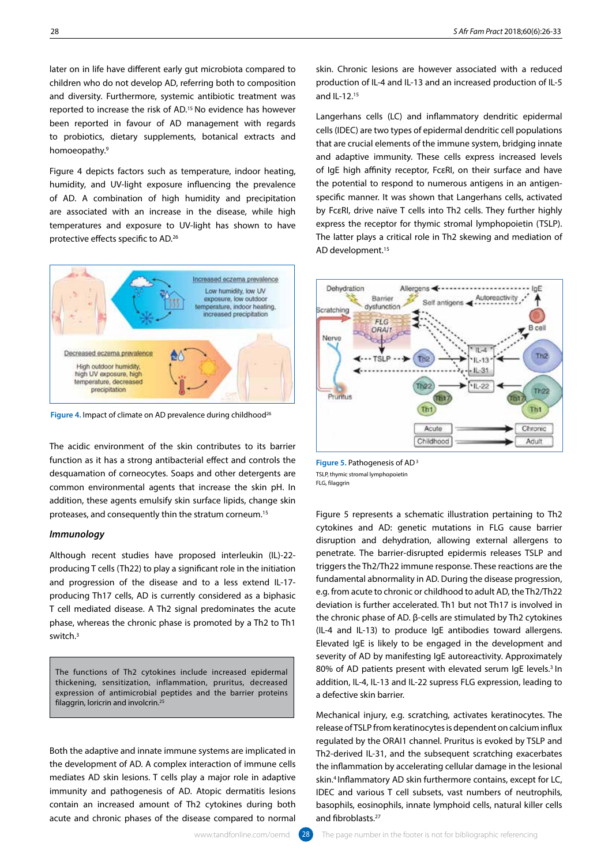later on in life have different early gut microbiota compared to children who do not develop AD, referring both to composition and diversity. Furthermore, systemic antibiotic treatment was reported to increase the risk of AD.15 No evidence has however been reported in favour of AD management with regards to probiotics, dietary supplements, botanical extracts and homoeopathy.9

Figure 4 depicts factors such as temperature, indoor heating, humidity, and UV-light exposure influencing the prevalence of AD. A combination of high humidity and precipitation are associated with an increase in the disease, while high temperatures and exposure to UV-light has shown to have protective effects specific to AD.26



Figure 4. Impact of climate on AD prevalence during childhood<sup>26</sup>

The acidic environment of the skin contributes to its barrier function as it has a strong antibacterial effect and controls the desquamation of corneocytes. Soaps and other detergents are common environmental agents that increase the skin pH. In addition, these agents emulsify skin surface lipids, change skin proteases, and consequently thin the stratum corneum.15

## *Immunology*

Although recent studies have proposed interleukin (IL)-22 producing T cells (Th22) to play a significant role in the initiation and progression of the disease and to a less extend IL-17 producing Th17 cells, AD is currently considered as a biphasic T cell mediated disease. A Th2 signal predominates the acute phase, whereas the chronic phase is promoted by a Th2 to Th1 switch<sup>3</sup>

The functions of Th2 cytokines include increased epidermal thickening, sensitization, inflammation, pruritus, decreased expression of antimicrobial peptides and the barrier proteins filaggrin, loricrin and involcrin.<sup>25</sup>

Both the adaptive and innate immune systems are implicated in the development of AD. A complex interaction of immune cells mediates AD skin lesions. T cells play a major role in adaptive immunity and pathogenesis of AD. Atopic dermatitis lesions contain an increased amount of Th2 cytokines during both acute and chronic phases of the disease compared to normal

skin. Chronic lesions are however associated with a reduced production of IL-4 and IL-13 and an increased production of IL-5 and II-12 $15$ 

Langerhans cells (LC) and inflammatory dendritic epidermal cells (IDEC) are two types of epidermal dendritic cell populations that are crucial elements of the immune system, bridging innate and adaptive immunity. These cells express increased levels of IgE high affinity receptor, FcεRI, on their surface and have the potential to respond to numerous antigens in an antigenspecific manner. It was shown that Langerhans cells, activated by FcεRI, drive naïve T cells into Th2 cells. They further highly express the receptor for thymic stromal lymphopoietin (TSLP). The latter plays a critical role in Th2 skewing and mediation of AD development.15



**Figure 5.** Pathogenesis of AD 3 TSLP, thymic stromal lymphopoietin FLG, filaggrin

Figure 5 represents a schematic illustration pertaining to Th2 cytokines and AD: genetic mutations in FLG cause barrier disruption and dehydration, allowing external allergens to penetrate. The barrier-disrupted epidermis releases TSLP and triggers the Th2/Th22 immune response. These reactions are the fundamental abnormality in AD. During the disease progression, e.g. from acute to chronic or childhood to adult AD, the Th2/Th22 deviation is further accelerated. Th1 but not Th17 is involved in the chronic phase of AD. β-cells are stimulated by Th2 cytokines (IL-4 and IL-13) to produce IgE antibodies toward allergens. Elevated IgE is likely to be engaged in the development and severity of AD by manifesting IgE autoreactivity. Approximately 80% of AD patients present with elevated serum IgE levels.<sup>3</sup> In addition, IL-4, IL-13 and IL-22 supress FLG expression, leading to a defective skin barrier.

Mechanical injury, e.g. scratching, activates keratinocytes. The release of TSLP from keratinocytes is dependent on calcium influx regulated by the ORAI1 channel. Pruritus is evoked by TSLP and Th2-derived IL-31, and the subsequent scratching exacerbates the inflammation by accelerating cellular damage in the lesional skin.<sup>4</sup> Inflammatory AD skin furthermore contains, except for LC, IDEC and various T cell subsets, vast numbers of neutrophils, basophils, eosinophils, innate lymphoid cells, natural killer cells and fibroblasts.<sup>27</sup>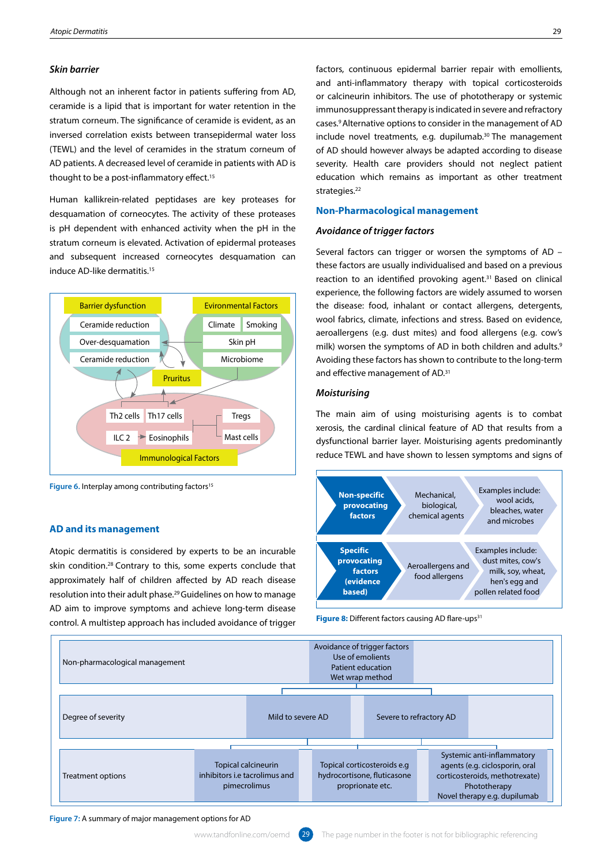## *Skin barrier*

Although not an inherent factor in patients suffering from AD, ceramide is a lipid that is important for water retention in the stratum corneum. The significance of ceramide is evident, as an inversed correlation exists between transepidermal water loss (TEWL) and the level of ceramides in the stratum corneum of AD patients. A decreased level of ceramide in patients with AD is thought to be a post-inflammatory effect.<sup>15</sup>

Human kallikrein-related peptidases are key proteases for desquamation of corneocytes. The activity of these proteases is pH dependent with enhanced activity when the pH in the stratum corneum is elevated. Activation of epidermal proteases and subsequent increased corneocytes desquamation can induce AD-like dermatitis.15



Figure 6. Interplay among contributing factors<sup>15</sup>

#### **AD and its management**

Atopic dermatitis is considered by experts to be an incurable skin condition.28 Contrary to this, some experts conclude that approximately half of children affected by AD reach disease resolution into their adult phase.29 Guidelines on how to manage AD aim to improve symptoms and achieve long-term disease control. A multistep approach has included avoidance of trigger

factors, continuous epidermal barrier repair with emollients, and anti-inflammatory therapy with topical corticosteroids or calcineurin inhibitors. The use of phototherapy or systemic immunosuppressant therapy is indicated in severe and refractory cases.9 Alternative options to consider in the management of AD include novel treatments, e.g. dupilumab.<sup>30</sup> The management of AD should however always be adapted according to disease severity. Health care providers should not neglect patient education which remains as important as other treatment strategies.<sup>22</sup>

# **Non-Pharmacological management**

# *Avoidance of trigger factors*

Several factors can trigger or worsen the symptoms of AD – these factors are usually individualised and based on a previous reaction to an identified provoking agent.<sup>31</sup> Based on clinical experience, the following factors are widely assumed to worsen the disease: food, inhalant or contact allergens, detergents, wool fabrics, climate, infections and stress. Based on evidence, aeroallergens (e.g. dust mites) and food allergens (e.g. cow's milk) worsen the symptoms of AD in both children and adults.<sup>9</sup> Avoiding these factors has shown to contribute to the long-term and effective management of AD.31

# *Moisturising*

The main aim of using moisturising agents is to combat xerosis, the cardinal clinical feature of AD that results from a dysfunctional barrier layer. Moisturising agents predominantly reduce TEWL and have shown to lessen symptoms and signs of



Figure 8: Different factors causing AD flare-ups<sup>31</sup>



**Figure 7:** A summary of major management options for AD

www.tandfonline.com/oemd  $\left( 29 \right)$  The page number in the footer is not for bibliographic referencing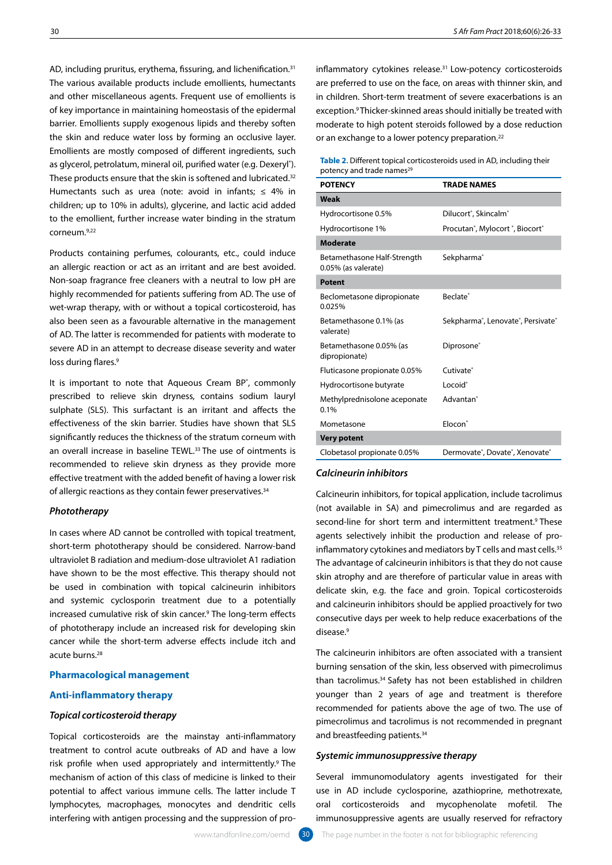AD, including pruritus, erythema, fissuring, and lichenification.<sup>31</sup> The various available products include emollients, humectants and other miscellaneous agents. Frequent use of emollients is of key importance in maintaining homeostasis of the epidermal barrier. Emollients supply exogenous lipids and thereby soften the skin and reduce water loss by forming an occlusive layer. Emollients are mostly composed of different ingredients, such as glycerol, petrolatum, mineral oil, purified water (e.g. Dexeryl°). These products ensure that the skin is softened and lubricated.<sup>32</sup> Humectants such as urea (note: avoid in infants;  $\leq 4\%$  in children; up to 10% in adults), glycerine, and lactic acid added to the emollient, further increase water binding in the stratum corneum.9,22

Products containing perfumes, colourants, etc., could induce an allergic reaction or act as an irritant and are best avoided. Non-soap fragrance free cleaners with a neutral to low pH are highly recommended for patients suffering from AD. The use of wet-wrap therapy, with or without a topical corticosteroid, has also been seen as a favourable alternative in the management of AD. The latter is recommended for patients with moderate to severe AD in an attempt to decrease disease severity and water loss during flares.<sup>9</sup>

It is important to note that Aqueous Cream BP®, commonly prescribed to relieve skin dryness, contains sodium lauryl sulphate (SLS). This surfactant is an irritant and affects the effectiveness of the skin barrier. Studies have shown that SLS significantly reduces the thickness of the stratum corneum with an overall increase in baseline TEWL.<sup>33</sup> The use of ointments is recommended to relieve skin dryness as they provide more effective treatment with the added benefit of having a lower risk of allergic reactions as they contain fewer preservatives.<sup>34</sup>

# *Phototherapy*

In cases where AD cannot be controlled with topical treatment, short-term phototherapy should be considered. Narrow-band ultraviolet B radiation and medium-dose ultraviolet A1 radiation have shown to be the most effective. This therapy should not be used in combination with topical calcineurin inhibitors and systemic cyclosporin treatment due to a potentially increased cumulative risk of skin cancer.9 The long-term effects of phototherapy include an increased risk for developing skin cancer while the short-term adverse effects include itch and acute burns.28

## **Pharmacological management**

## **Anti-inflammatory therapy**

## *Topical corticosteroid therapy*

Topical corticosteroids are the mainstay anti-inflammatory treatment to control acute outbreaks of AD and have a low risk profile when used appropriately and intermittently.<sup>9</sup> The mechanism of action of this class of medicine is linked to their potential to affect various immune cells. The latter include T lymphocytes, macrophages, monocytes and dendritic cells interfering with antigen processing and the suppression of proinflammatory cytokines release.<sup>31</sup> Low-potency corticosteroids are preferred to use on the face, on areas with thinner skin, and in children. Short-term treatment of severe exacerbations is an exception.9 Thicker-skinned areas should initially be treated with moderate to high potent steroids followed by a dose reduction or an exchange to a lower potency preparation.22

#### **Table 2.** Different topical corticosteroids used in AD, including their potency and trade names<sup>29</sup>

| <b>POTENCY</b>                                     | <b>TRADE NAMES</b>                                                   |
|----------------------------------------------------|----------------------------------------------------------------------|
| Weak                                               |                                                                      |
| Hydrocortisone 0.5%                                | Dilucort <sup>®</sup> , Skincalm <sup>®</sup>                        |
| Hydrocortisone 1%                                  | Procutan <sup>®</sup> , Mylocort <sup>®</sup> , Biocort <sup>®</sup> |
| <b>Moderate</b>                                    |                                                                      |
| Betamethasone Half-Strength<br>0.05% (as valerate) | Sekpharma <sup>®</sup>                                               |
| <b>Potent</b>                                      |                                                                      |
| Beclometasone dipropionate<br>0.025%               | Beclate <sup>®</sup>                                                 |
| Betamethasone 0.1% (as<br>valerate)                | Sekpharma®, Lenovate®, Persivate®                                    |
| Betamethasone 0.05% (as<br>dipropionate)           | Diprosone®                                                           |
| Fluticasone propionate 0.05%                       | Cutivate <sup>®</sup>                                                |
| Hydrocortisone butyrate                            | Locoid <sup>®</sup>                                                  |
| Methylprednisolone aceponate<br>0.1%               | Advantan <sup>®</sup>                                                |
| Mometasone                                         | Flocon <sup>®</sup>                                                  |
| <b>Very potent</b>                                 |                                                                      |
| Clobetasol propionate 0.05%                        | Dermovate®, Dovate®, Xenovate®                                       |

## *Calcineurin inhibitors*

Calcineurin inhibitors, for topical application, include tacrolimus (not available in SA) and pimecrolimus and are regarded as second-line for short term and intermittent treatment.<sup>9</sup> These agents selectively inhibit the production and release of proinflammatory cytokines and mediators by T cells and mast cells.<sup>35</sup> The advantage of calcineurin inhibitors is that they do not cause skin atrophy and are therefore of particular value in areas with delicate skin, e.g. the face and groin. Topical corticosteroids and calcineurin inhibitors should be applied proactively for two consecutive days per week to help reduce exacerbations of the disease.9

The calcineurin inhibitors are often associated with a transient burning sensation of the skin, less observed with pimecrolimus than tacrolimus.34 Safety has not been established in children younger than 2 years of age and treatment is therefore recommended for patients above the age of two. The use of pimecrolimus and tacrolimus is not recommended in pregnant and breastfeeding patients.<sup>34</sup>

#### *Systemic immunosuppressive therapy*

Several immunomodulatory agents investigated for their use in AD include cyclosporine, azathioprine, methotrexate, oral corticosteroids and mycophenolate mofetil. The immunosuppressive agents are usually reserved for refractory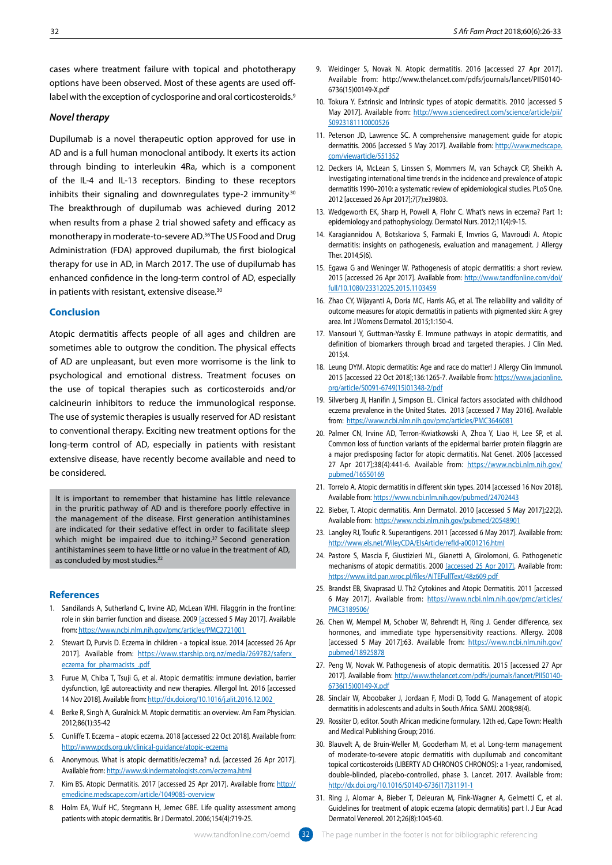cases where treatment failure with topical and phototherapy options have been observed. Most of these agents are used offlabel with the exception of cyclosporine and oral corticosteroids.<sup>9</sup>

# *Novel therapy*

Dupilumab is a novel therapeutic option approved for use in AD and is a full human monoclonal antibody. It exerts its action through binding to interleukin 4Ra, which is a component of the IL-4 and IL-13 receptors. Binding to these receptors inhibits their signaling and downregulates type-2 immunity<sup>30</sup> The breakthrough of dupilumab was achieved during 2012 when results from a phase 2 trial showed safety and efficacy as monotherapy in moderate-to-severe AD.36 The US Food and Drug Administration (FDA) approved dupilumab, the first biological therapy for use in AD, in March 2017. The use of dupilumab has enhanced confidence in the long-term control of AD, especially in patients with resistant, extensive disease.<sup>30</sup>

# **Conclusion**

Atopic dermatitis affects people of all ages and children are sometimes able to outgrow the condition. The physical effects of AD are unpleasant, but even more worrisome is the link to psychological and emotional distress. Treatment focuses on the use of topical therapies such as corticosteroids and/or calcineurin inhibitors to reduce the immunological response. The use of systemic therapies is usually reserved for AD resistant to conventional therapy. Exciting new treatment options for the long-term control of AD, especially in patients with resistant extensive disease, have recently become available and need to be considered.

It is important to remember that histamine has little relevance in the pruritic pathway of AD and is therefore poorly effective in the management of the disease. First generation antihistamines are indicated for their sedative effect in order to facilitate sleep which might be impaired due to itching.<sup>37</sup> Second generation antihistamines seem to have little or no value in the treatment of AD, as concluded by most studies.<sup>22</sup>

#### **References**

- 1. Sandilands A, Sutherland C, Irvine AD, McLean WHI. Filaggrin in the frontline: role in skin barrier function and disease. 2009 [accessed 5 May 2017]. Available from: https://www.ncbi.nlm.nih.gov/pmc/articles/PMC2721001
- 2. Stewart D, Purvis D. Eczema in children a topical issue. 2014 [accessed 26 Apr 2017]. Available from: https://www.starship.org.nz/media/269782/saferx eczema\_for\_pharmacists\_.pdf
- 3. Furue M, Chiba T, Tsuji G, et al. Atopic dermatitis: immune deviation, barrier dysfunction, IgE autoreactivity and new therapies. Allergol Int. 2016 [accessed 14 Nov 2018]. Available from: http://dx.doi.org/10.1016/j.alit.2016.12.002
- 4. Berke R, Singh A, Guralnick M. Atopic dermatitis: an overview. Am Fam Physician. 2012;86(1):35-42
- 5. Cunliffe T. Eczema atopic eczema. 2018 [accessed 22 Oct 2018]. Available from: http://www.pcds.org.uk/clinical-guidance/atopic-eczema
- 6. Anonymous. What is atopic dermatitis/eczema? n.d. [accessed 26 Apr 2017]. Available from: http://www.skindermatologists.com/eczema.html
- 7. Kim BS. Atopic Dermatitis. 2017 [accessed 25 Apr 2017]. Available from: http:// emedicine.medscape.com/article/1049085-overview
- 8. Holm EA, Wulf HC, Stegmann H, Jemec GBE. Life quality assessment among patients with atopic dermatitis. Br J Dermatol. 2006;154(4):719-25.
- 9. Weidinger S, Novak N. Atopic dermatitis. 2016 [accessed 27 Apr 2017]. Available from: http://www.thelancet.com/pdfs/journals/lancet/PIIS0140- 6736(15)00149-X.pdf
- 10. Tokura Y. Extrinsic and Intrinsic types of atopic dermatitis. 2010 [accessed 5 May 2017]. Available from: http://www.sciencedirect.com/science/article/pii/ S0923181110000526
- 11. Peterson JD, Lawrence SC. A comprehensive management guide for atopic dermatitis. 2006 [accessed 5 May 2017]. Available from: http://www.medscape. com/viewarticle/551352
- 12. Deckers IA, McLean S, Linssen S, Mommers M, van Schayck CP, Sheikh A. Investigating international time trends in the incidence and prevalence of atopic dermatitis 1990–2010: a systematic review of epidemiological studies. PLoS One. 2012 [accessed 26 Apr 2017];7(7):e39803.
- 13. Wedgeworth EK, Sharp H, Powell A, Flohr C. What's news in eczema? Part 1: epidemiology and pathophysiology. Dermatol Nurs. 2012;11(4):9-15.
- 14. Karagiannidou A, Botskariova S, Farmaki E, Imvrios G, Mavroudi A. Atopic dermatitis: insights on pathogenesis, evaluation and management. J Allergy Ther. 2014;5(6).
- 15. Egawa G and Weninger W. Pathogenesis of atopic dermatitis: a short review. 2015 [accessed 26 Apr 2017]. Available from: http://www.tandfonline.com/doi/ full/10.1080/23312025.2015.1103459
- 16. Zhao CY, Wijayanti A, Doria MC, Harris AG, et al. The reliability and validity of outcome measures for atopic dermatitis in patients with pigmented skin: A grey area. Int J Womens Dermatol. 2015;1:150-4.
- 17. Mansouri Y, Guttman-Yassky E. Immune pathways in atopic dermatitis, and definition of biomarkers through broad and targeted therapies. J Clin Med. 2015;4.
- 18. Leung DYM. Atopic dermatitis: Age and race do matter! J Allergy Clin Immunol. 2015 [accessed 22 Oct 2018];136:1265-7. Available from: https://www.jacionline. org/article/S0091-6749(15)01348-2/pdf
- 19. Silverberg JI, Hanifin J, Simpson EL. Clinical factors associated with childhood eczema prevalence in the United States. 2013 [accessed 7 May 2016]. Available from: https://www.ncbi.nlm.nih.gov/pmc/articles/PMC3646081
- 20. Palmer CN, Irvine AD, Terron-Kwiatkowski A, Zhoa Y, Liao H, Lee SP, et al. Common loss of function variants of the epidermal barrier protein filaggrin are a major predisposing factor for atopic dermatitis. Nat Genet. 2006 [accessed 27 Apr 2017];38(4):441-6. Available from: https://www.ncbi.nlm.nih.gov/ pubmed/16550169
- 21. Torrelo A. Atopic dermatitis in different skin types. 2014 [accessed 16 Nov 2018]. Available from: https://www.ncbi.nlm.nih.gov/pubmed/24702443
- 22. Bieber, T. Atopic dermatitis. Ann Dermatol. 2010 [accessed 5 May 2017];22(2). Available from: https://www.ncbi.nlm.nih.gov/pubmed/20548901
- 23. Langley RJ, Toufic R. Superantigens. 2011 [accessed 6 May 2017]. Available from: http://www.els.net/WileyCDA/ElsArticle/refId-a0001216.html
- 24. Pastore S, Mascia F, Giustizieri ML, Gianetti A, Girolomoni, G. Pathogenetic mechanisms of atopic dermatitis. 2000 [accessed 25 Apr 2017]. Available from: https://www.iitd.pan.wroc.pl/files/AITEFullText/48z609.pdf
- 25. Brandst EB, Sivaprasad U. Th2 Cytokines and Atopic Dermatitis. 2011 [accessed 6 May 2017]. Available from: https://www.ncbi.nlm.nih.gov/pmc/articles/ PMC3189506/
- 26. Chen W, Mempel M, Schober W, Behrendt H, Ring J. Gender difference, sex hormones, and immediate type hypersensitivity reactions. Allergy. 2008 [accessed 5 May 2017];63. Available from: https://www.ncbi.nlm.nih.gov/ pubmed/18925878
- 27. Peng W, Novak W. Pathogenesis of atopic dermatitis. 2015 [accessed 27 Apr 2017]. Available from: http://www.thelancet.com/pdfs/journals/lancet/PIIS0140-6736(15)00149-X.pdf
- 28. Sinclair W, Aboobaker J, Jordaan F, Modi D, Todd G. Management of atopic dermatitis in adolescents and adults in South Africa. SAMJ. 2008;98(4).
- 29. Rossiter D, editor. South African medicine formulary. 12th ed, Cape Town: Health and Medical Publishing Group; 2016.
- 30. Blauvelt A, de Bruin-Weller M, Gooderham M, et al. Long-term management of moderate-to-severe atopic dermatitis with dupilumab and concomitant topical corticosteroids (LIBERTY AD CHRONOS CHRONOS): a 1-year, randomised, double-blinded, placebo-controlled, phase 3. Lancet. 2017. Available from: http://dx.doi.org/10.1016/S0140-6736(17)31191-1
- 31. Ring J, Alomar A, Bieber T, Deleuran M, Fink‐Wagner A, Gelmetti C, et al. Guidelines for treatment of atopic eczema (atopic dermatitis) part I. J Eur Acad Dermatol Venereol. 2012;26(8):1045-60.